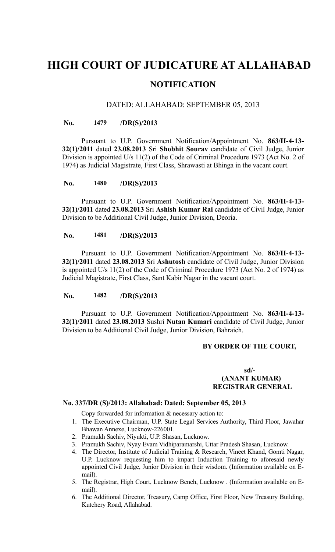# **HIGH COURT OF JUDICATURE AT ALLAHABAD NOTIFICATION**

#### DATED: ALLAHABAD: SEPTEMBER 05, 2013

#### **No. 1479 /DR(S)/2013**

Pursuant to U.P. Government Notification/Appointment No. **863/II-4-13- 32(1)/2011** dated **23.08.2013** Sri **Shobhit Sourav** candidate of Civil Judge, Junior Division is appointed U/s 11(2) of the Code of Criminal Procedure 1973 (Act No. 2 of 1974) as Judicial Magistrate, First Class, Shrawasti at Bhinga in the vacant court.

#### **No. 1480 /DR(S)/2013**

Pursuant to U.P. Government Notification/Appointment No. **863/II-4-13- 32(1)/2011** dated **23.08.2013** Sri **Ashish Kumar Rai** candidate of Civil Judge, Junior Division to be Additional Civil Judge, Junior Division, Deoria.

#### **No. 1481 /DR(S)/2013**

Pursuant to U.P. Government Notification/Appointment No. **863/II-4-13- 32(1)/2011** dated **23.08.2013** Sri **Ashutosh** candidate of Civil Judge, Junior Division is appointed U/s 11(2) of the Code of Criminal Procedure 1973 (Act No. 2 of 1974) as Judicial Magistrate, First Class, Sant Kabir Nagar in the vacant court.

#### **No. 1482 /DR(S)/2013**

Pursuant to U.P. Government Notification/Appointment No. **863/II-4-13- 32(1)/2011** dated **23.08.2013** Sushri **Nutan Kumari** candidate of Civil Judge, Junior Division to be Additional Civil Judge, Junior Division, Bahraich.

## **BY ORDER OF THE COURT,**

#### **sd/- (ANANT KUMAR) REGISTRAR GENERAL**

#### **No. 337/DR (S)/2013: Allahabad: Dated: September 05, 2013**

Copy forwarded for information & necessary action to:

- 1. The Executive Chairman, U.P. State Legal Services Authority, Third Floor, Jawahar Bhawan Annexe, Lucknow-226001.
- 2. Pramukh Sachiv, Niyukti, U.P. Shasan, Lucknow.
- 3. Pramukh Sachiv, Nyay Evam Vidhiparamarshi, Uttar Pradesh Shasan, Lucknow.
- 4. The Director, Institute of Judicial Training & Research, Vineet Khand, Gomti Nagar, U.P. Lucknow requesting him to impart Induction Training to aforesaid newly appointed Civil Judge, Junior Division in their wisdom. (Information available on Email).
- 5. The Registrar, High Court, Lucknow Bench, Lucknow . (Information available on Email).
- 6. The Additional Director, Treasury, Camp Office, First Floor, New Treasury Building, Kutchery Road, Allahabad.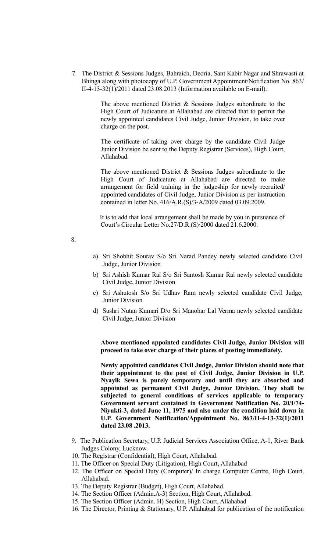7. The District & Sessions Judges, Bahraich, Deoria, Sant Kabir Nagar and Shrawasti at Bhinga along with photocopy of U.P. Government Appointment/Notification No. 863/ II-4-13-32(1)/2011 dated 23.08.2013 (Information available on E-mail).

> The above mentioned District & Sessions Judges subordinate to the High Court of Judicature at Allahabad are directed that to permit the newly appointed candidates Civil Judge, Junior Division, to take over charge on the post.

> The certificate of taking over charge by the candidate Civil Judge Junior Division be sent to the Deputy Registrar (Services), High Court, Allahabad.

> The above mentioned District & Sessions Judges subordinate to the High Court of Judicature at Allahabad are directed to make arrangement for field training in the judgeship for newly recruited/ appointed candidates of Civil Judge, Junior Division as per instruction contained in letter No. 416/A.R.(S)/3-A/2009 dated 03.09.2009.

> It is to add that local arrangement shall be made by you in pursuance of Court's Circular Letter No.27/D.R.(S)/2000 dated 21.6.2000.

8.

- a) Sri Shobhit Sourav S/o Sri Narad Pandey newly selected candidate Civil Judge, Junior Division
- b) Sri Ashish Kumar Rai S/o Sri Santosh Kumar Rai newly selected candidate Civil Judge, Junior Division
- c) Sri Ashutosh S/o Sri Udhav Ram newly selected candidate Civil Judge, Junior Division
- d) Sushri Nutan Kumari D/o Sri Manohar Lal Verma newly selected candidate Civil Judge, Junior Division

**Above mentioned appointed candidates Civil Judge, Junior Division will proceed to take over charge of their places of posting immediately.**

**Newly appointed candidates Civil Judge, Junior Division should note that their appointment to the post of Civil Judge, Junior Division in U.P. Nyayik Sewa is purely temporary and until they are absorbed and appointed as permanent Civil Judge, Junior Division. They shall be subjected to general conditions of services applicable to temporary Government servant contained in Government Notification No. 20/I/74- Niyukti-3, dated June 11, 1975 and also under the condition laid down in U.P. Government Notification/Appointment No. 863/II-4-13-32(1)/2011 dated 23.08 .2013.**

- 9. The Publication Secretary, U.P. Judicial Services Association Office, A-1, River Bank Judges Colony, Lucknow.
- 10. The Registrar (Confidential), High Court, Allahabad.
- 11. The Officer on Special Duty (Litigation), High Court, Allahabad
- 12. The Officer on Special Duty (Computer)/ In charge Computer Centre, High Court, Allahabad.
- 13. The Deputy Registrar (Budget), High Court, Allahabad.
- 14. The Section Officer (Admin.A-3) Section, High Court, Allahabad.
- 15. The Section Officer (Admin. H) Section, High Court, Allahabad
- 16. The Director, Printing & Stationary, U.P. Allahabad for publication of the notification